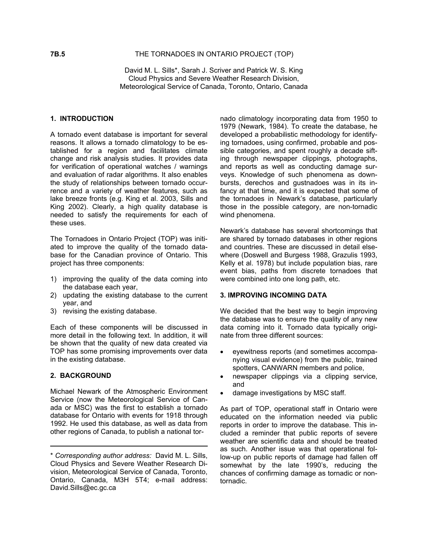David M. L. Sills\*, Sarah J. Scriver and Patrick W. S. King Cloud Physics and Severe Weather Research Division, Meteorological Service of Canada, Toronto, Ontario, Canada

#### **1. INTRODUCTION**

A tornado event database is important for several reasons. It allows a tornado climatology to be established for a region and facilitates climate change and risk analysis studies. It provides data for verification of operational watches / warnings and evaluation of radar algorithms. It also enables the study of relationships between tornado occurrence and a variety of weather features, such as lake breeze fronts (e.g. King et al. 2003, Sills and King 2002). Clearly, a high quality database is needed to satisfy the requirements for each of these uses.

The Tornadoes in Ontario Project (TOP) was initiated to improve the quality of the tornado database for the Canadian province of Ontario. This project has three components:

- 1) improving the quality of the data coming into the database each year,
- 2) updating the existing database to the current year, and
- 

Each of these components will be discussed in more detail in the following text. In addition, it will be shown that the quality of new data created via TOP has some promising improvements over data in the existing database.

Michael Newark of the Atmospheric Environment Service (now the Meteorological Service of Canada or MSC) was the first to establish a tornado database for Ontario with events for 1918 through 1992. He used this database, as well as data from other regions of Canada, to publish a national tornado climatology incorporating data from 1950 to 1979 (Newark, 1984). To create the database, he developed a probabilistic methodology for identifying tornadoes, using confirmed, probable and possible categories, and spent roughly a decade sifting through newspaper clippings, photographs, and reports as well as conducting damage surveys. Knowledge of such phenomena as downbursts, derechos and gustnadoes was in its infancy at that time, and it is expected that some of the tornadoes in Newark's database, particularly those in the possible category, are non-tornadic wind phenomena.

Newark's database has several shortcomings that are shared by tornado databases in other regions and countries. These are discussed in detail elsewhere (Doswell and Burgess 1988, Grazulis 1993, Kelly et al. 1978) but include population bias, rare event bias, paths from discrete tornadoes that were combined into one long path, etc.

#### **3. IMPROVING INCOMING DATA**

3) revising the existing database. We decided that the best way to begin improving the database was to ensure the quality of any new data coming into it. Tornado data typically originate from three different sources:

- eyewitness reports (and sometimes accompanying visual evidence) from the public, trained spotters, CANWARN members and police,
- **2. BACKGROUND**  newspaper clippings via a clipping service, and
	- damage investigations by MSC staff.

As part of TOP, operational staff in Ontario were educated on the information needed via public reports in order to improve the database. This included a reminder that public reports of severe weather are scientific data and should be treated as such. Another issue was that operational follow-up on public reports of damage had fallen off somewhat by the late 1990's, reducing the chances of confirming damage as tornadic or nontornadic.

<sup>\*</sup> *Corresponding author address:* David M. L. Sills, Cloud Physics and Severe Weather Research Division, Meteorological Service of Canada, Toronto, Ontario, Canada, M3H 5T4; e-mail address: David.Sills@ec.gc.ca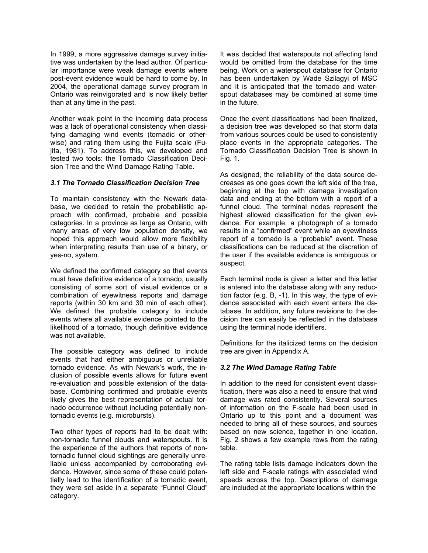In 1999, a more aggressive damage survey initiative was undertaken by the lead author. Of particular importance were weak damage events where post-event evidence would be hard to come by. In 2004, the operational damage survey program in Ontario was reinvigorated and is now likely better than at any time in the past.

Another weak point in the incoming data process was a lack of operational consistency when classifying damaging wind events (tornadic or otherwise) and rating them using the Fujita scale (Fujita, 1981). To address this, we developed and tested two tools: the Tornado Classification Decision Tree and the Wind Damage Rating Table.

## *3.1 The Tornado Classification Decision Tree*

To maintain consistency with the Newark database, we decided to retain the probabilistic approach with confirmed, probable and possible categories. In a province as large as Ontario, with many areas of very low population density, we hoped this approach would allow more flexibility when interpreting results than use of a binary, or yes-no, system.

We defined the confirmed category so that events must have definitive evidence of a tornado, usually consisting of some sort of visual evidence or a combination of eyewitness reports and damage reports (within 30 km and 30 min of each other). We defined the probable category to include events where all available evidence pointed to the likelihood of a tornado, though definitive evidence was not available.

The possible category was defined to include events that had either ambiguous or unreliable tornado evidence. As with Newark's work, the inclusion of possible events allows for future event re-evaluation and possible extension of the database. Combining confirmed and probable events likely gives the best representation of actual tornado occurrence without including potentially nontornadic events (e.g. microbursts).

Two other types of reports had to be dealt with: non-tornadic funnel clouds and waterspouts. It is the experience of the authors that reports of nontornadic funnel cloud sightings are generally unreliable unless accompanied by corroborating evidence. However, since some of these could potentially lead to the identification of a tornadic event, they were set aside in a separate "Funnel Cloud" category.

It was decided that waterspouts not affecting land would be omitted from the database for the time being. Work on a waterspout database for Ontario has been undertaken by Wade Szilagyi of MSC and it is anticipated that the tornado and waterspout databases may be combined at some time in the future.

Once the event classifications had been finalized, a decision tree was developed so that storm data from various sources could be used to consistently place events in the appropriate categories. The Tornado Classification Decision Tree is shown in Fig. 1.

As designed, the reliability of the data source decreases as one goes down the left side of the tree, beginning at the top with damage investigation data and ending at the bottom with a report of a funnel cloud. The terminal nodes represent the highest allowed classification for the given evidence. For example, a photograph of a tornado results in a "confirmed" event while an eyewitness report of a tornado is a "probable" event. These classifications can be reduced at the discretion of the user if the available evidence is ambiguous or suspect.

Each terminal node is given a letter and this letter is entered into the database along with any reduction factor (e.g. B, -1). In this way, the type of evidence associated with each event enters the database. In addition, any future revisions to the decision tree can easily be reflected in the database using the terminal node identifiers.

Definitions for the italicized terms on the decision tree are given in Appendix A.

# *3.2 The Wind Damage Rating Table*

In addition to the need for consistent event classification, there was also a need to ensure that wind damage was rated consistently. Several sources of information on the F-scale had been used in Ontario up to this point and a document was needed to bring all of these sources, and sources based on new science, together in one location. Fig. 2 shows a few example rows from the rating table.

The rating table lists damage indicators down the left side and F-scale ratings with associated wind speeds across the top. Descriptions of damage are included at the appropriate locations within the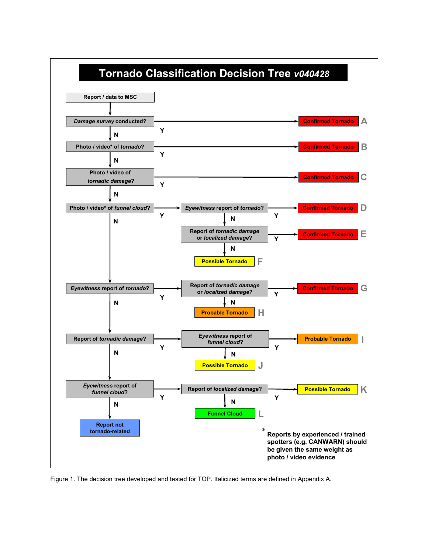

Figure 1. The decision tree developed and tested for TOP. Italicized terms are defined in Appendix A.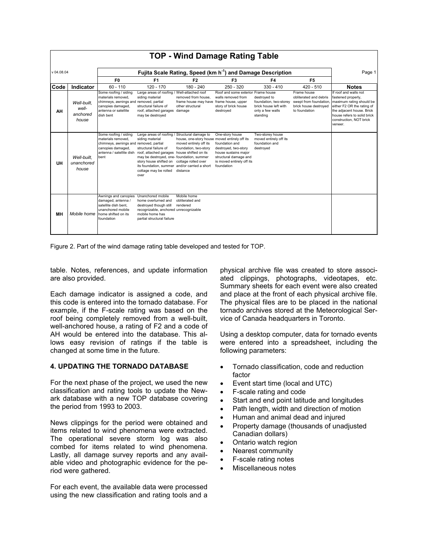| <b>TOP - Wind Damage Rating Table</b> |                                           |                                                                                                                                                 |                                                                                                                                                                                                                                                                             |                                                                                                                                                             |                                                                                                                                                       |                                                                                                 |                                                                                                           |                                                                                                                                                                                                         |
|---------------------------------------|-------------------------------------------|-------------------------------------------------------------------------------------------------------------------------------------------------|-----------------------------------------------------------------------------------------------------------------------------------------------------------------------------------------------------------------------------------------------------------------------------|-------------------------------------------------------------------------------------------------------------------------------------------------------------|-------------------------------------------------------------------------------------------------------------------------------------------------------|-------------------------------------------------------------------------------------------------|-----------------------------------------------------------------------------------------------------------|---------------------------------------------------------------------------------------------------------------------------------------------------------------------------------------------------------|
| $v$ 04.08.04                          |                                           | Fujita Scale Rating, Speed (km h <sup>-1</sup> ) and Damage Description                                                                         |                                                                                                                                                                                                                                                                             |                                                                                                                                                             |                                                                                                                                                       |                                                                                                 |                                                                                                           | Page 1                                                                                                                                                                                                  |
|                                       |                                           | F <sub>0</sub>                                                                                                                                  | F <sub>1</sub>                                                                                                                                                                                                                                                              | F <sub>2</sub>                                                                                                                                              | F <sub>3</sub>                                                                                                                                        | F4                                                                                              | F <sub>5</sub>                                                                                            |                                                                                                                                                                                                         |
| Code                                  | Indicator                                 | $60 - 110$                                                                                                                                      | $120 - 170$                                                                                                                                                                                                                                                                 | $180 - 240$                                                                                                                                                 | $250 - 320$                                                                                                                                           | $330 - 410$                                                                                     | $420 - 510$                                                                                               | <b>Notes</b>                                                                                                                                                                                            |
| AH                                    | Well-built.<br>well-<br>anchored<br>house | Some roofing / siding<br>materials removed.<br>chimneys, awnings and removed, partial<br>canopies damaged,<br>antenna or satellite<br>dish bent | Large areas of roofing / Well-attached roof<br>siding material<br>structural failure of<br>roof, attached garages damage<br>may be destroyed                                                                                                                                | removed from house.<br>frame house may have<br>other structural                                                                                             | Roof and some exterior Frame house<br>walls removed from<br>frame house, upper<br>story of brick house<br>destroyed                                   | destroved to<br>foundation, two-storey<br>brick house left with<br>only a few walls<br>standing | Frame house<br>obliterated and debris<br>swept from foundation.<br>brick house destroyed<br>to foundation | If roof and walls not<br>fastened properly.<br>maximum rating should be<br>either F2 OR the rating of<br>the adiacent house. Brick<br>house refers to solid brick<br>construction, NOT brick<br>veneer. |
| UH                                    | Well-built.<br>unanchored<br>house        | Some roofing / siding<br>materials removed.<br>chimneys, awnings and removed, partial<br>canopies damaged,<br>antenna / satellite dish<br>bent  | Large areas of roofing / Structural damage to<br>siding material<br>structural failure of<br>roof, attached garages<br>may be destroyed, one-foundation, summer<br>story house shifted on<br>its foundation, summer and/or carried a short<br>cottage may be rolled<br>over | house, one-story house moved entirely off its<br>moved entirely off its<br>foundation, two-story<br>house shifted on its<br>cottage rolled over<br>distance | One-story house<br>foundation and<br>destroyed, two-story<br>house sustains major<br>structural damage and<br>is moved entirely off its<br>foundation | Two-storey house<br>moved entirely off its<br>foundation and<br>destroyed                       |                                                                                                           |                                                                                                                                                                                                         |
| <b>MH</b>                             | Mobile home                               | Awnings and canopies Unanchored mobile<br>damaged, antenna /<br>satellite dish bent.<br>unanchored mobile<br>home shifted on its<br>foundation  | home overturned and<br>destroyed though still<br>recognizable, anchored unrecognizable<br>mobile home has<br>partial structural failure                                                                                                                                     | Mobile home<br>obliterated and<br>rendered                                                                                                                  |                                                                                                                                                       |                                                                                                 |                                                                                                           |                                                                                                                                                                                                         |

Figure 2. Part of the wind damage rating table developed and tested for TOP.

table. Notes, references, and update information are also provided.

Each damage indicator is assigned a code, and this code is entered into the tornado database. For example, if the F-scale rating was based on the roof being completely removed from a well-built, well-anchored house, a rating of F2 and a code of AH would be entered into the database. This allows easy revision of ratings if the table is changed at some time in the future.

#### **4. UPDATING THE TORNADO DATABASE**

For the next phase of the project, we used the new classification and rating tools to update the Newark database with a new TOP database covering the period from 1993 to 2003.

News clippings for the period were obtained and items related to wind phenomena were extracted. The operational severe storm log was also combed for items related to wind phenomena. Lastly, all damage survey reports and any available video and photographic evidence for the period were gathered.

For each event, the available data were processed using the new classification and rating tools and a

physical archive file was created to store associated clippings, photographs, videotapes, etc. Summary sheets for each event were also created and place at the front of each physical archive file. The physical files are to be placed in the national tornado archives stored at the Meteorological Service of Canada headquarters in Toronto.

Using a desktop computer, data for tornado events were entered into a spreadsheet, including the following parameters:

- Tornado classification, code and reduction factor
- Event start time (local and UTC)
- F-scale rating and code
- Start and end point latitude and longitudes
- Path length, width and direction of motion
- Human and animal dead and injured
- Property damage (thousands of unadjusted Canadian dollars)
- Ontario watch region
- Nearest community
- F-scale rating notes
- Miscellaneous notes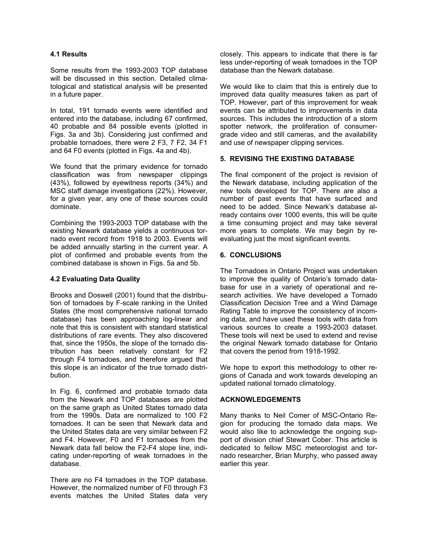# **4.1 Results**

Some results from the 1993-2003 TOP database will be discussed in this section. Detailed climatological and statistical analysis will be presented in a future paper.

In total, 191 tornado events were identified and entered into the database, including 67 confirmed, 40 probable and 84 possible events (plotted in Figs. 3a and 3b). Considering just confirmed and probable tornadoes, there were 2 F3, 7 F2, 34 F1 and 64 F0 events (plotted in Figs. 4a and 4b).

We found that the primary evidence for tornado classification was from newspaper clippings (43%), followed by eyewitness reports (34%) and MSC staff damage investigations (22%). However, for a given year, any one of these sources could dominate.

Combining the 1993-2003 TOP database with the existing Newark database yields a continuous tornado event record from 1918 to 2003. Events will be added annually starting in the current year. A plot of confirmed and probable events from the combined database is shown in Figs. 5a and 5b.

## **4.2 Evaluating Data Quality**

Brooks and Doswell (2001) found that the distribution of tornadoes by F-scale ranking in the United States (the most comprehensive national tornado database) has been approaching log-linear and note that this is consistent with standard statistical distributions of rare events. They also discovered that, since the 1950s, the slope of the tornado distribution has been relatively constant for F2 through F4 tornadoes, and therefore argued that this slope is an indicator of the true tornado distribution.

In Fig. 6, confirmed and probable tornado data from the Newark and TOP databases are plotted on the same graph as United States tornado data from the 1990s. Data are normalized to 100 F2 tornadoes. It can be seen that Newark data and the United States data are very similar between F2 and F4. However, F0 and F1 tornadoes from the Newark data fall below the F2-F4 slope line, indicating under-reporting of weak tornadoes in the database.

There are no F4 tornadoes in the TOP database. However, the normalized number of F0 through F3 events matches the United States data very closely. This appears to indicate that there is far less under-reporting of weak tornadoes in the TOP database than the Newark database.

We would like to claim that this is entirely due to improved data quality measures taken as part of TOP. However, part of this improvement for weak events can be attributed to improvements in data sources. This includes the introduction of a storm spotter network, the proliferation of consumergrade video and still cameras, and the availability and use of newspaper clipping services.

# **5. REVISING THE EXISTING DATABASE**

The final component of the project is revision of the Newark database, including application of the new tools developed for TOP. There are also a number of past events that have surfaced and need to be added. Since Newark's database already contains over 1000 events, this will be quite a time consuming project and may take several more years to complete. We may begin by reevaluating just the most significant events.

## **6. CONCLUSIONS**

The Tornadoes in Ontario Project was undertaken to improve the quality of Ontario's tornado database for use in a variety of operational and research activities. We have developed a Tornado Classification Decision Tree and a Wind Damage Rating Table to improve the consistency of incoming data, and have used these tools with data from various sources to create a 1993-2003 dataset. These tools will next be used to extend and revise the original Newark tornado database for Ontario that covers the period from 1918-1992.

We hope to export this methodology to other regions of Canada and work towards developing an updated national tornado climatology.

#### **ACKNOWLEDGEMENTS**

Many thanks to Neil Comer of MSC-Ontario Region for producing the tornado data maps. We would also like to acknowledge the ongoing support of division chief Stewart Cober. This article is dedicated to fellow MSC meteorologist and tornado researcher, Brian Murphy, who passed away earlier this year.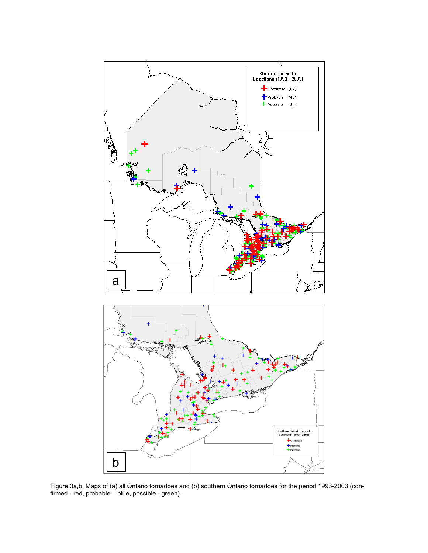

Figure 3a,b. Maps of (a) all Ontario tornadoes and (b) southern Ontario tornadoes for the period 1993-2003 (confirmed - red, probable – blue, possible - green).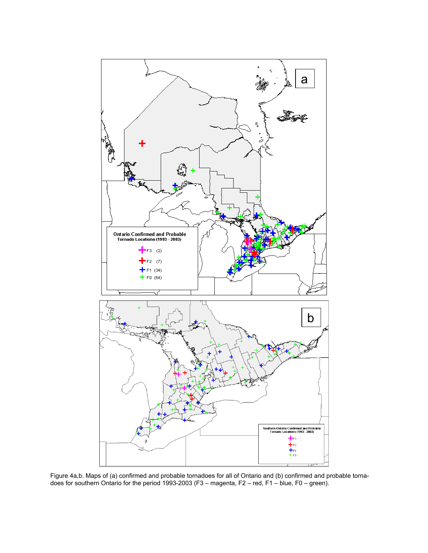

Figure 4a,b. Maps of (a) confirmed and probable tornadoes for all of Ontario and (b) confirmed and probable tornadoes for southern Ontario for the period 1993-2003 (F3 – magenta, F2 – red, F1 – blue, F0 – green).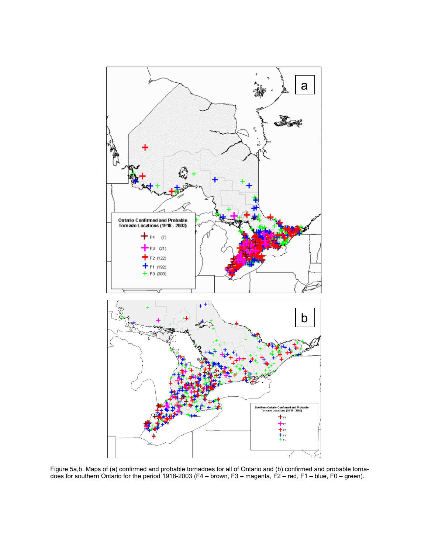

Figure 5a,b. Maps of (a) confirmed and probable tornadoes for all of Ontario and (b) confirmed and probable tornadoes for southern Ontario for the period 1918-2003 (F4 – brown, F3 – magenta, F2 – red, F1 – blue, F0 – green).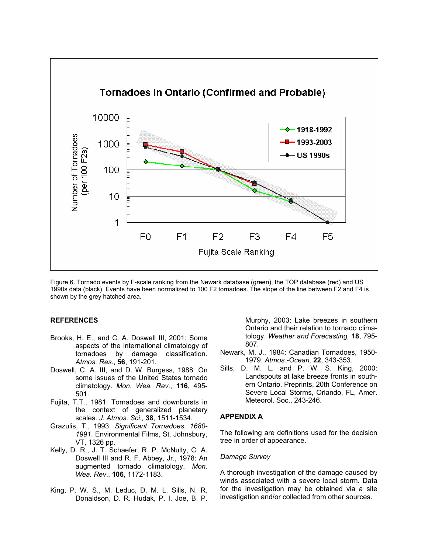

Figure 6. Tornado events by F-scale ranking from the Newark database (green), the TOP database (red) and US 1990s data (black). Events have been normalized to 100 F2 tornadoes. The slope of the line between F2 and F4 is shown by the grey hatched area.

#### **REFERENCES**

- Brooks, H. E., and C. A. Doswell III, 2001: Some aspects of the international climatology of tornadoes by damage classification. *Atmos. Res.*, **56**, 191-201.
- Doswell, C. A. III, and D. W. Burgess, 1988: On some issues of the United States tornado climatology. *Mon. Wea. Rev.*, **116**, 495- 501.
- Fujita, T.T., 1981: Tornadoes and downbursts in the context of generalized planetary scales. *J. Atmos. Sci.,* **38**, 1511-1534.
- Grazulis, T., 1993: *Significant Tornadoes. 1680- 1991*. Environmental Films, St. Johnsbury, VT, 1326 pp.
- Kelly, D. R., J. T. Schaefer, R. P. McNulty, C. A. Doswell III and R. F. Abbey, Jr., 1978: An augmented tornado climatology. *Mon. Wea. Rev*., **106**, 1172-1183.
- King, P. W. S., M. Leduc, D. M. L. Sills, N. R. Donaldson, D. R. Hudak, P. I. Joe, B. P.

Murphy, 2003: Lake breezes in southern Ontario and their relation to tornado climatology. *Weather and Forecasting,* **18**, 795- 807.

- Newark, M. J., 1984: Canadian Tornadoes, 1950- 1979. *Atmos.-Ocean,* **22**, 343-353.
- Sills, D. M. L. and P. W. S. King, 2000: Landspouts at lake breeze fronts in southern Ontario. Preprints, 20th Conference on Severe Local Storms, Orlando, FL, Amer. Meteorol. Soc., 243-246.

#### **APPENDIX A**

The following are definitions used for the decision tree in order of appearance.

#### *Damage Survey*

A thorough investigation of the damage caused by winds associated with a severe local storm. Data for the investigation may be obtained via a site investigation and/or collected from other sources.